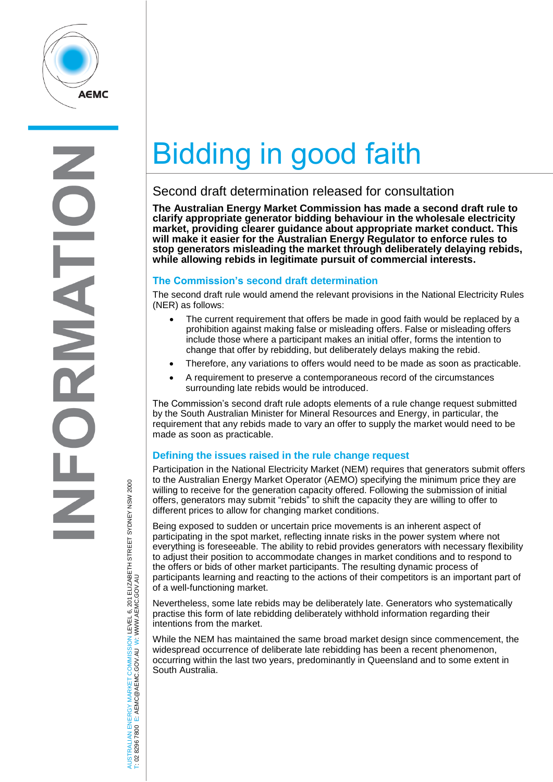

# Bidding in good faith

## Second draft determination released for consultation

**The Australian Energy Market Commission has made a second draft rule to clarify appropriate generator bidding behaviour in the wholesale electricity market, providing clearer guidance about appropriate market conduct. This will make it easier for the Australian Energy Regulator to enforce rules to stop generators misleading the market through deliberately delaying rebids, while allowing rebids in legitimate pursuit of commercial interests.**

#### **The Commission's second draft determination**

The second draft rule would amend the relevant provisions in the National Electricity Rules (NER) as follows:

- The current requirement that offers be made in good faith would be replaced by a prohibition against making false or misleading offers. False or misleading offers include those where a participant makes an initial offer, forms the intention to change that offer by rebidding, but deliberately delays making the rebid.
- Therefore, any variations to offers would need to be made as soon as practicable.
- A requirement to preserve a contemporaneous record of the circumstances surrounding late rebids would be introduced.

The Commission's second draft rule adopts elements of a rule change request submitted by the South Australian Minister for Mineral Resources and Energy, in particular, the requirement that any rebids made to vary an offer to supply the market would need to be made as soon as practicable.

### **Defining the issues raised in the rule change request**

Participation in the National Electricity Market (NEM) requires that generators submit offers to the Australian Energy Market Operator (AEMO) specifying the minimum price they are willing to receive for the generation capacity offered. Following the submission of initial offers, generators may submit "rebids" to shift the capacity they are willing to offer to different prices to allow for changing market conditions.

Being exposed to sudden or uncertain price movements is an inherent aspect of participating in the spot market, reflecting innate risks in the power system where not everything is foreseeable. The ability to rebid provides generators with necessary flexibility to adjust their position to accommodate changes in market conditions and to respond to the offers or bids of other market participants. The resulting dynamic process of participants learning and reacting to the actions of their competitors is an important part of of a well-functioning market.

Nevertheless, some late rebids may be deliberately late. Generators who systematically practise this form of late rebidding deliberately withhold information regarding their intentions from the market.

While the NEM has maintained the same broad market design since commencement, the widespread occurrence of deliberate late rebidding has been a recent phenomenon, occurring within the last two years, predominantly in Queensland and to some extent in South Australia.

AUSTRALIAN ENERGY MARKET COMMISSION LEVEL 6, 201 ELIZABETH STREET SYDNEY NSW 2000 AUSTRALIAN ENERGY MARKET COMMISSION LEVEL 6, 201 ELIZABETH STREET SYDNEY NSW 2000<br>T: 02 8296 7800 E: AEMC@AEMC.GOV.AU W: WWW.AEMC.GOV.AU W: WWW.AEMC.GOV.AU T: 02 8296 7800 E: AEMC@AEMC.GOV.AU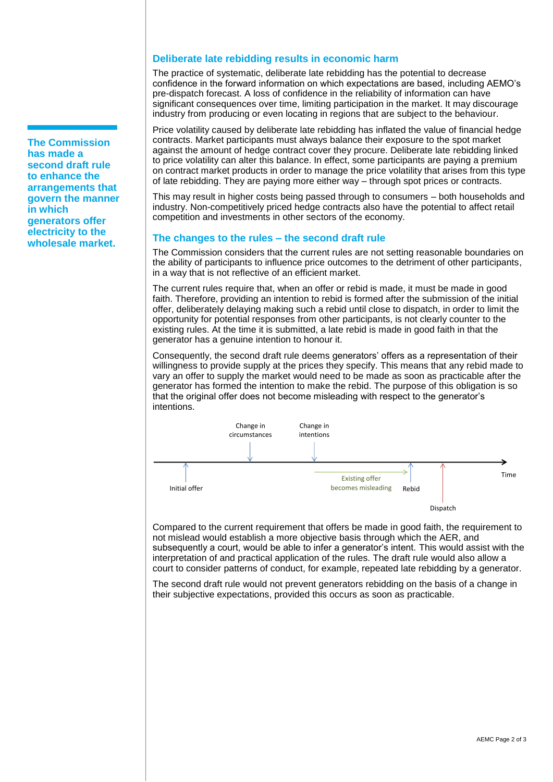**The Commission has made a second draft rule to enhance the arrangements that govern the manner in which generators offer electricity to the wholesale market.**

#### **Deliberate late rebidding results in economic harm**

The practice of systematic, deliberate late rebidding has the potential to decrease confidence in the forward information on which expectations are based, including AEMO's pre-dispatch forecast. A loss of confidence in the reliability of information can have significant consequences over time, limiting participation in the market. It may discourage industry from producing or even locating in regions that are subject to the behaviour.

Price volatility caused by deliberate late rebidding has inflated the value of financial hedge contracts. Market participants must always balance their exposure to the spot market against the amount of hedge contract cover they procure. Deliberate late rebidding linked to price volatility can alter this balance. In effect, some participants are paying a premium on contract market products in order to manage the price volatility that arises from this type of late rebidding. They are paying more either way – through spot prices or contracts.

This may result in higher costs being passed through to consumers – both households and industry. Non-competitively priced hedge contracts also have the potential to affect retail competition and investments in other sectors of the economy.

#### **The changes to the rules – the second draft rule**

The Commission considers that the current rules are not setting reasonable boundaries on the ability of participants to influence price outcomes to the detriment of other participants, in a way that is not reflective of an efficient market.

The current rules require that, when an offer or rebid is made, it must be made in good faith. Therefore, providing an intention to rebid is formed after the submission of the initial offer, deliberately delaying making such a rebid until close to dispatch, in order to limit the opportunity for potential responses from other participants, is not clearly counter to the existing rules. At the time it is submitted, a late rebid is made in good faith in that the generator has a genuine intention to honour it.

Consequently, the second draft rule deems generators' offers as a representation of their willingness to provide supply at the prices they specify. This means that any rebid made to vary an offer to supply the market would need to be made as soon as practicable after the generator has formed the intention to make the rebid. The purpose of this obligation is so that the original offer does not become misleading with respect to the generator's intentions.



Compared to the current requirement that offers be made in good faith, the requirement to not mislead would establish a more objective basis through which the AER, and subsequently a court, would be able to infer a generator's intent. This would assist with the interpretation of and practical application of the rules. The draft rule would also allow a court to consider patterns of conduct, for example, repeated late rebidding by a generator.

The second draft rule would not prevent generators rebidding on the basis of a change in their subjective expectations, provided this occurs as soon as practicable.